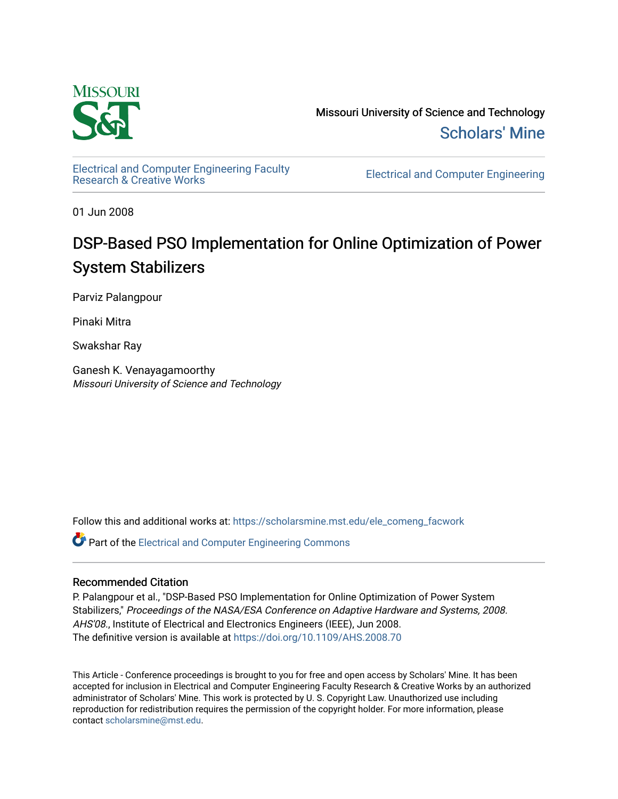

Missouri University of Science and Technology [Scholars' Mine](https://scholarsmine.mst.edu/) 

[Electrical and Computer Engineering Faculty](https://scholarsmine.mst.edu/ele_comeng_facwork)

**Electrical and Computer Engineering** 

01 Jun 2008

# DSP-Based PSO Implementation for Online Optimization of Power System Stabilizers

Parviz Palangpour

Pinaki Mitra

Swakshar Ray

Ganesh K. Venayagamoorthy Missouri University of Science and Technology

Follow this and additional works at: [https://scholarsmine.mst.edu/ele\\_comeng\\_facwork](https://scholarsmine.mst.edu/ele_comeng_facwork?utm_source=scholarsmine.mst.edu%2Fele_comeng_facwork%2F984&utm_medium=PDF&utm_campaign=PDFCoverPages)

**C** Part of the Electrical and Computer Engineering Commons

# Recommended Citation

P. Palangpour et al., "DSP-Based PSO Implementation for Online Optimization of Power System Stabilizers," Proceedings of the NASA/ESA Conference on Adaptive Hardware and Systems, 2008. AHS'08., Institute of Electrical and Electronics Engineers (IEEE), Jun 2008. The definitive version is available at <https://doi.org/10.1109/AHS.2008.70>

This Article - Conference proceedings is brought to you for free and open access by Scholars' Mine. It has been accepted for inclusion in Electrical and Computer Engineering Faculty Research & Creative Works by an authorized administrator of Scholars' Mine. This work is protected by U. S. Copyright Law. Unauthorized use including reproduction for redistribution requires the permission of the copyright holder. For more information, please contact [scholarsmine@mst.edu](mailto:scholarsmine@mst.edu).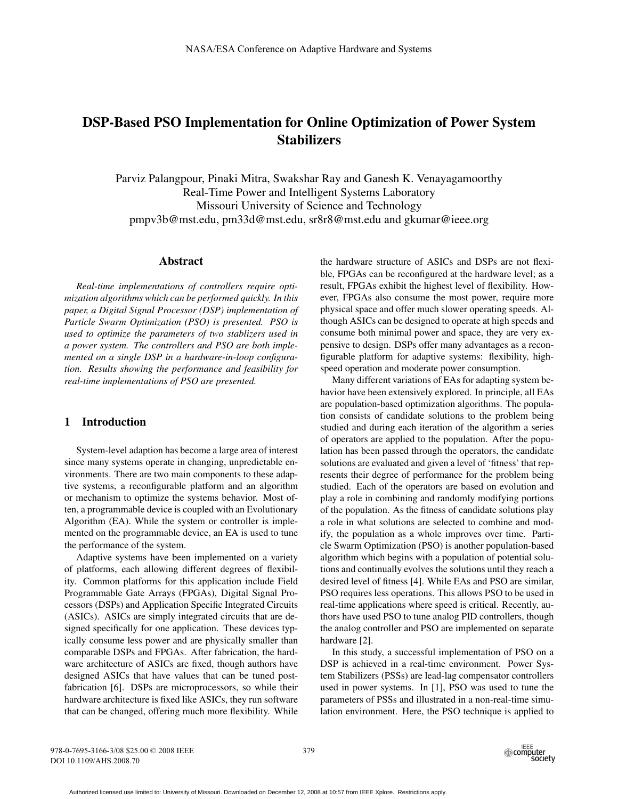# DSP-Based PSO Implementation for Online Optimization of Power System **Stabilizers**

Parviz Palangpour, Pinaki Mitra, Swakshar Ray and Ganesh K. Venayagamoorthy Real-Time Power and Intelligent Systems Laboratory Missouri University of Science and Technology pmpv3b@mst.edu, pm33d@mst.edu, sr8r8@mst.edu and gkumar@ieee.org

#### Abstract

*Real-time implementations of controllers require optimization algorithms which can be performed quickly. In this paper, a Digital Signal Processor (DSP) implementation of Particle Swarm Optimization (PSO) is presented. PSO is used to optimize the parameters of two stablizers used in a power system. The controllers and PSO are both implemented on a single DSP in a hardware-in-loop configuration. Results showing the performance and feasibility for real-time implementations of PSO are presented.*

### 1 Introduction

System-level adaption has become a large area of interest since many systems operate in changing, unpredictable environments. There are two main components to these adaptive systems, a reconfigurable platform and an algorithm or mechanism to optimize the systems behavior. Most often, a programmable device is coupled with an Evolutionary Algorithm (EA). While the system or controller is implemented on the programmable device, an EA is used to tune the performance of the system.

Adaptive systems have been implemented on a variety of platforms, each allowing different degrees of flexibility. Common platforms for this application include Field Programmable Gate Arrays (FPGAs), Digital Signal Processors (DSPs) and Application Specific Integrated Circuits (ASICs). ASICs are simply integrated circuits that are designed specifically for one application. These devices typically consume less power and are physically smaller than comparable DSPs and FPGAs. After fabrication, the hardware architecture of ASICs are fixed, though authors have designed ASICs that have values that can be tuned postfabrication [6]. DSPs are microprocessors, so while their hardware architecture is fixed like ASICs, they run software that can be changed, offering much more flexibility. While

the hardware structure of ASICs and DSPs are not flexible, FPGAs can be reconfigured at the hardware level; as a result, FPGAs exhibit the highest level of flexibility. However, FPGAs also consume the most power, require more physical space and offer much slower operating speeds. Although ASICs can be designed to operate at high speeds and consume both minimal power and space, they are very expensive to design. DSPs offer many advantages as a reconfigurable platform for adaptive systems: flexibility, highspeed operation and moderate power consumption.

Many different variations of EAs for adapting system behavior have been extensively explored. In principle, all EAs are population-based optimization algorithms. The population consists of candidate solutions to the problem being studied and during each iteration of the algorithm a series of operators are applied to the population. After the population has been passed through the operators, the candidate solutions are evaluated and given a level of 'fitness' that represents their degree of performance for the problem being studied. Each of the operators are based on evolution and play a role in combining and randomly modifying portions of the population. As the fitness of candidate solutions play a role in what solutions are selected to combine and modify, the population as a whole improves over time. Particle Swarm Optimization (PSO) is another population-based algorithm which begins with a population of potential solutions and continually evolves the solutions until they reach a desired level of fitness [4]. While EAs and PSO are similar, PSO requires less operations. This allows PSO to be used in real-time applications where speed is critical. Recently, authors have used PSO to tune analog PID controllers, though the analog controller and PSO are implemented on separate hardware [2].

In this study, a successful implementation of PSO on a DSP is achieved in a real-time environment. Power System Stabilizers (PSSs) are lead-lag compensator controllers used in power systems. In [1], PSO was used to tune the parameters of PSSs and illustrated in a non-real-time simulation environment. Here, the PSO technique is applied to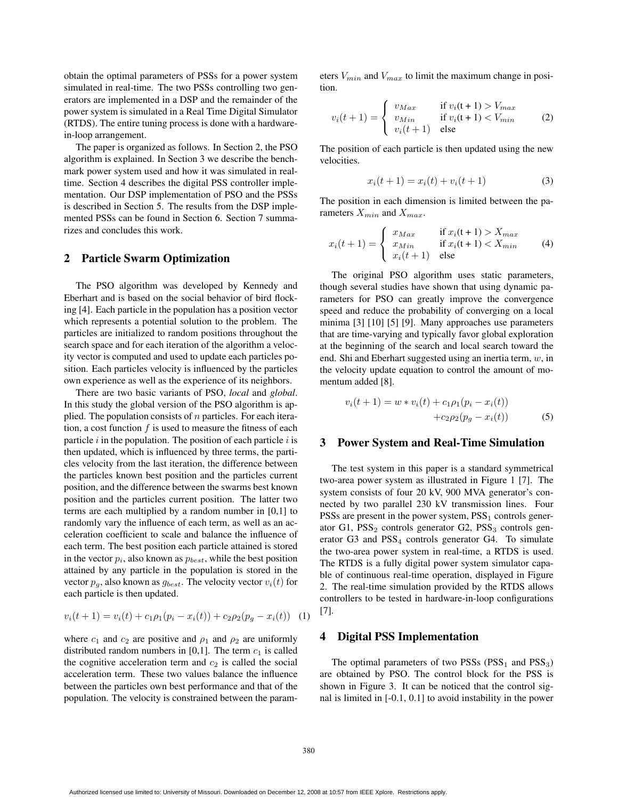obtain the optimal parameters of PSSs for a power system simulated in real-time. The two PSSs controlling two generators are implemented in a DSP and the remainder of the power system is simulated in a Real Time Digital Simulator (RTDS). The entire tuning process is done with a hardwarein-loop arrangement.

The paper is organized as follows. In Section 2, the PSO algorithm is explained. In Section 3 we describe the benchmark power system used and how it was simulated in realtime. Section 4 describes the digital PSS controller implementation. Our DSP implementation of PSO and the PSSs is described in Section 5. The results from the DSP implemented PSSs can be found in Section 6. Section 7 summarizes and concludes this work.

#### 2 Particle Swarm Optimization

The PSO algorithm was developed by Kennedy and Eberhart and is based on the social behavior of bird flocking [4]. Each particle in the population has a position vector which represents a potential solution to the problem. The particles are initialized to random positions throughout the search space and for each iteration of the algorithm a velocity vector is computed and used to update each particles position. Each particles velocity is influenced by the particles own experience as well as the experience of its neighbors.

There are two basic variants of PSO, *local* and *global*. In this study the global version of the PSO algorithm is applied. The population consists of  $n$  particles. For each iteration, a cost function  $f$  is used to measure the fitness of each particle  $i$  in the population. The position of each particle  $i$  is then updated, which is influenced by three terms, the particles velocity from the last iteration, the difference between the particles known best position and the particles current position, and the difference between the swarms best known position and the particles current position. The latter two terms are each multiplied by a random number in [0,1] to randomly vary the influence of each term, as well as an acceleration coefficient to scale and balance the influence of each term. The best position each particle attained is stored in the vector  $p_i$ , also known as  $p_{best}$ , while the best position attained by any particle in the population is stored in the vector  $p_g$ , also known as  $g_{best}$ . The velocity vector  $v_i(t)$  for each particle is then updated.

$$
v_i(t+1) = v_i(t) + c_1 \rho_1 (p_i - x_i(t)) + c_2 \rho_2 (p_g - x_i(t)) \quad (1)
$$

where  $c_1$  and  $c_2$  are positive and  $\rho_1$  and  $\rho_2$  are uniformly distributed random numbers in [0,1]. The term  $c_1$  is called the cognitive acceleration term and  $c_2$  is called the social acceleration term. These two values balance the influence between the particles own best performance and that of the population. The velocity is constrained between the parameters  $V_{min}$  and  $V_{max}$  to limit the maximum change in position.

$$
v_i(t+1) = \begin{cases} v_{Max} & \text{if } v_i(t+1) > V_{max} \\ v_{Min} & \text{if } v_i(t+1) < V_{min} \\ v_i(t+1) & \text{else} \end{cases} \tag{2}
$$

The position of each particle is then updated using the new velocities.

$$
x_i(t+1) = x_i(t) + v_i(t+1)
$$
 (3)

The position in each dimension is limited between the parameters  $X_{min}$  and  $X_{max}$ .

$$
x_i(t+1) = \begin{cases} x_{Max} & \text{if } x_i(t+1) > X_{max} \\ x_{Min} & \text{if } x_i(t+1) < X_{min} \\ x_i(t+1) & \text{else} \end{cases}
$$
(4)

The original PSO algorithm uses static parameters, though several studies have shown that using dynamic parameters for PSO can greatly improve the convergence speed and reduce the probability of converging on a local minima [3] [10] [5] [9]. Many approaches use parameters that are time-varying and typically favor global exploration at the beginning of the search and local search toward the end. Shi and Eberhart suggested using an inertia term,  $w$ , in the velocity update equation to control the amount of momentum added [8].

$$
v_i(t+1) = w * v_i(t) + c_1 \rho_1 (p_i - x_i(t)) + c_2 \rho_2 (p_g - x_i(t))
$$
 (5)

#### 3 Power System and Real-Time Simulation

The test system in this paper is a standard symmetrical two-area power system as illustrated in Figure 1 [7]. The system consists of four 20 kV, 900 MVA generator's connected by two parallel 230 kV transmission lines. Four PSSs are present in the power system,  $PSS<sub>1</sub>$  controls generator G1,  $PSS_2$  controls generator G2,  $PSS_3$  controls generator  $G3$  and  $PSS<sub>4</sub>$  controls generator  $G4$ . To simulate the two-area power system in real-time, a RTDS is used. The RTDS is a fully digital power system simulator capable of continuous real-time operation, displayed in Figure 2. The real-time simulation provided by the RTDS allows controllers to be tested in hardware-in-loop configurations [7].

#### 4 Digital PSS Implementation

The optimal parameters of two PSSs ( $PSS<sub>1</sub>$  and  $PSS<sub>3</sub>$ ) are obtained by PSO. The control block for the PSS is shown in Figure 3. It can be noticed that the control signal is limited in [-0.1, 0.1] to avoid instability in the power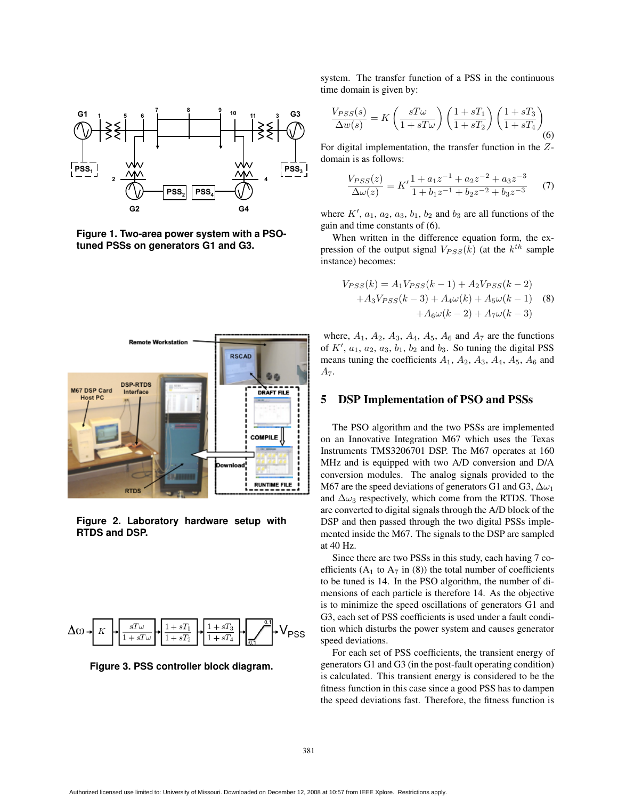

**Figure 1. Two-area power system with a PSOtuned PSSs on generators G1 and G3.**



**Figure 2. Laboratory hardware setup with RTDS and DSP.**



**Figure 3. PSS controller block diagram.**

system. The transfer function of a PSS in the continuous time domain is given by:

$$
\frac{V_{PSS}(s)}{\Delta w(s)} = K \left(\frac{sT\omega}{1+sT\omega}\right) \left(\frac{1+sT_1}{1+sT_2}\right) \left(\frac{1+sT_3}{1+sT_4}\right) \tag{6}
$$

For digital implementation, the transfer function in the Zdomain is as follows:

$$
\frac{V_{PSS}(z)}{\Delta\omega(z)} = K' \frac{1 + a_1 z^{-1} + a_2 z^{-2} + a_3 z^{-3}}{1 + b_1 z^{-1} + b_2 z^{-2} + b_3 z^{-3}} \tag{7}
$$

where  $K'$ ,  $a_1$ ,  $a_2$ ,  $a_3$ ,  $b_1$ ,  $b_2$  and  $b_3$  are all functions of the gain and time constants of (6).

When written in the difference equation form, the expression of the output signal  $V_{PSS}(k)$  (at the  $k^{th}$  sample instance) becomes:

$$
V_{PSS}(k) = A_1 V_{PSS}(k-1) + A_2 V_{PSS}(k-2) + A_3 V_{PSS}(k-3) + A_4 \omega(k) + A_5 \omega(k-1)
$$
 (8)  
+  $A_6 \omega(k-2) + A_7 \omega(k-3)$ 

where,  $A_1$ ,  $A_2$ ,  $A_3$ ,  $A_4$ ,  $A_5$ ,  $A_6$  and  $A_7$  are the functions of  $K'$ ,  $a_1$ ,  $a_2$ ,  $a_3$ ,  $b_1$ ,  $b_2$  and  $b_3$ . So tuning the digital PSS means tuning the coefficients  $A_1$ ,  $A_2$ ,  $A_3$ ,  $A_4$ ,  $A_5$ ,  $A_6$  and A7.

#### 5 DSP Implementation of PSO and PSSs

The PSO algorithm and the two PSSs are implemented on an Innovative Integration M67 which uses the Texas Instruments TMS3206701 DSP. The M67 operates at 160 MHz and is equipped with two A/D conversion and D/A conversion modules. The analog signals provided to the M67 are the speed deviations of generators G1 and G3,  $\Delta \omega_1$ and  $\Delta\omega_3$  respectively, which come from the RTDS. Those are converted to digital signals through the A/D block of the DSP and then passed through the two digital PSSs implemented inside the M67. The signals to the DSP are sampled at 40 Hz.

Since there are two PSSs in this study, each having 7 coefficients ( $A_1$  to  $A_7$  in (8)) the total number of coefficients to be tuned is 14. In the PSO algorithm, the number of dimensions of each particle is therefore 14. As the objective is to minimize the speed oscillations of generators G1 and G3, each set of PSS coefficients is used under a fault condition which disturbs the power system and causes generator speed deviations.

For each set of PSS coefficients, the transient energy of generators G1 and G3 (in the post-fault operating condition) is calculated. This transient energy is considered to be the fitness function in this case since a good PSS has to dampen the speed deviations fast. Therefore, the fitness function is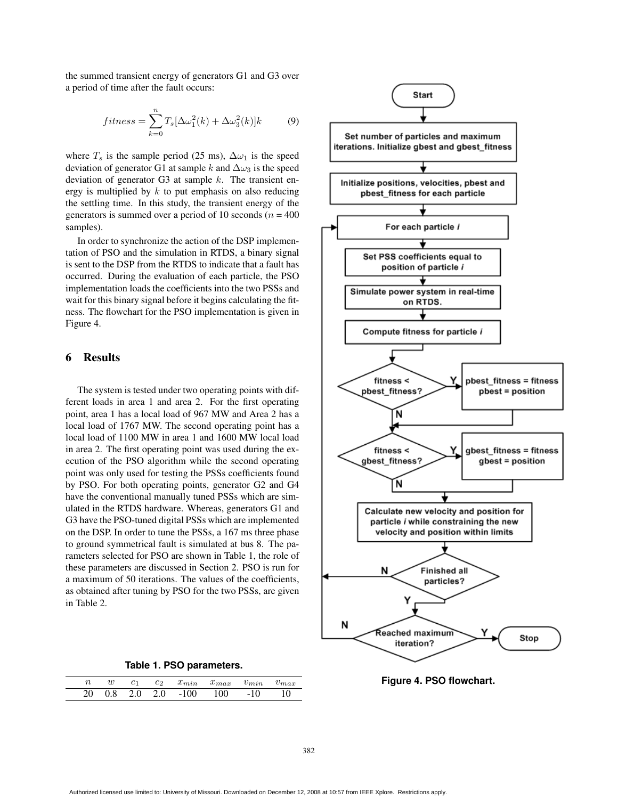the summed transient energy of generators G1 and G3 over a period of time after the fault occurs:

$$
fitness = \sum_{k=0}^{n} T_s[\Delta \omega_1^2(k) + \Delta \omega_3^2(k)]k \tag{9}
$$

where  $T_s$  is the sample period (25 ms),  $\Delta \omega_1$  is the speed deviation of generator G1 at sample k and  $\Delta \omega_3$  is the speed deviation of generator G3 at sample  $k$ . The transient energy is multiplied by  $k$  to put emphasis on also reducing the settling time. In this study, the transient energy of the generators is summed over a period of 10 seconds ( $n = 400$ ) samples).

In order to synchronize the action of the DSP implementation of PSO and the simulation in RTDS, a binary signal is sent to the DSP from the RTDS to indicate that a fault has occurred. During the evaluation of each particle, the PSO implementation loads the coefficients into the two PSSs and wait for this binary signal before it begins calculating the fitness. The flowchart for the PSO implementation is given in Figure 4.

#### 6 Results

The system is tested under two operating points with different loads in area 1 and area 2. For the first operating point, area 1 has a local load of 967 MW and Area 2 has a local load of 1767 MW. The second operating point has a local load of 1100 MW in area 1 and 1600 MW local load in area 2. The first operating point was used during the execution of the PSO algorithm while the second operating point was only used for testing the PSSs coefficients found by PSO. For both operating points, generator G2 and G4 have the conventional manually tuned PSSs which are simulated in the RTDS hardware. Whereas, generators G1 and G3 have the PSO-tuned digital PSSs which are implemented on the DSP. In order to tune the PSSs, a 167 ms three phase to ground symmetrical fault is simulated at bus 8. The parameters selected for PSO are shown in Table 1, the role of these parameters are discussed in Section 2. PSO is run for a maximum of 50 iterations. The values of the coefficients, as obtained after tuning by PSO for the two PSSs, are given in Table 2.

|  |  | $c_1$ $c_2$ $x_{min}$ $x_{max}$ $v_{min}$ $v_{max}$ |  |
|--|--|-----------------------------------------------------|--|
|  |  | 20 0.8 2.0 2.0 -100 100 -10 10                      |  |



**Figure 4. PSO flowchart.**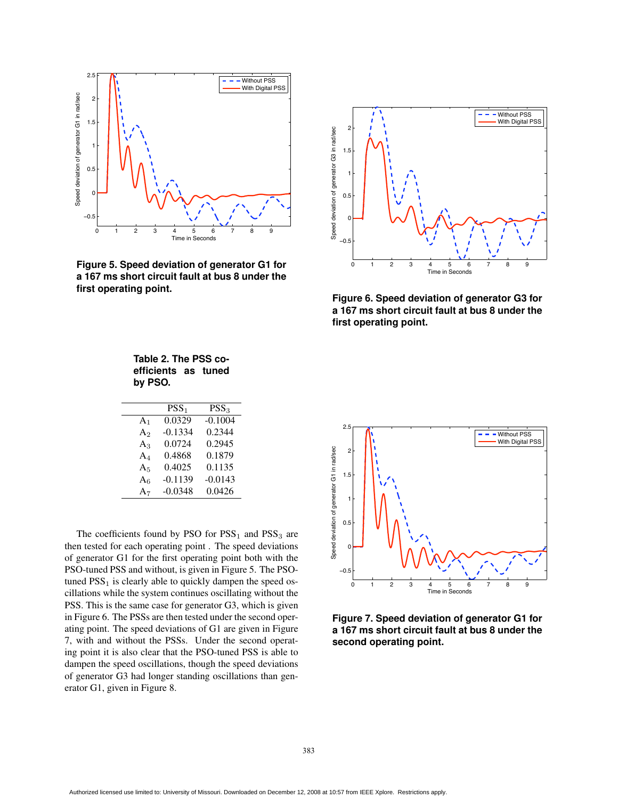

**Figure 5. Speed deviation of generator G1 for a 167 ms short circuit fault at bus 8 under the first operating point.**



**Figure 6. Speed deviation of generator G3 for a 167 ms short circuit fault at bus 8 under the first operating point.**

| Table 2. The PSS co- |  |
|----------------------|--|
| efficients as tuned  |  |
| by PSO.              |  |

|                | PSS <sub>1</sub>    | PSS <sub>3</sub> |
|----------------|---------------------|------------------|
| A <sub>1</sub> | $0.\overline{0329}$ | $-0.1004$        |
| A2             | $-0.1334$           | 0.2344           |
| $A_3$          | 0.0724              | 0.2945           |
| $\rm A_4$      | 0.4868              | 0.1879           |
| A <sub>5</sub> | 0.4025              | 0.1135           |
| $A_6$          | $-0.1139$           | $-0.0143$        |
| A <sub>7</sub> | $-0.0348$           | 0.0426           |

The coefficients found by PSO for  $PSS<sub>1</sub>$  and  $PSS<sub>3</sub>$  are then tested for each operating point . The speed deviations of generator G1 for the first operating point both with the PSO-tuned PSS and without, is given in Figure 5. The PSOtuned  $PSS<sub>1</sub>$  is clearly able to quickly dampen the speed oscillations while the system continues oscillating without the PSS. This is the same case for generator G3, which is given in Figure 6. The PSSs are then tested under the second operating point. The speed deviations of G1 are given in Figure 7, with and without the PSSs. Under the second operating point it is also clear that the PSO-tuned PSS is able to dampen the speed oscillations, though the speed deviations of generator G3 had longer standing oscillations than generator G1, given in Figure 8.



**Figure 7. Speed deviation of generator G1 for a 167 ms short circuit fault at bus 8 under the second operating point.**